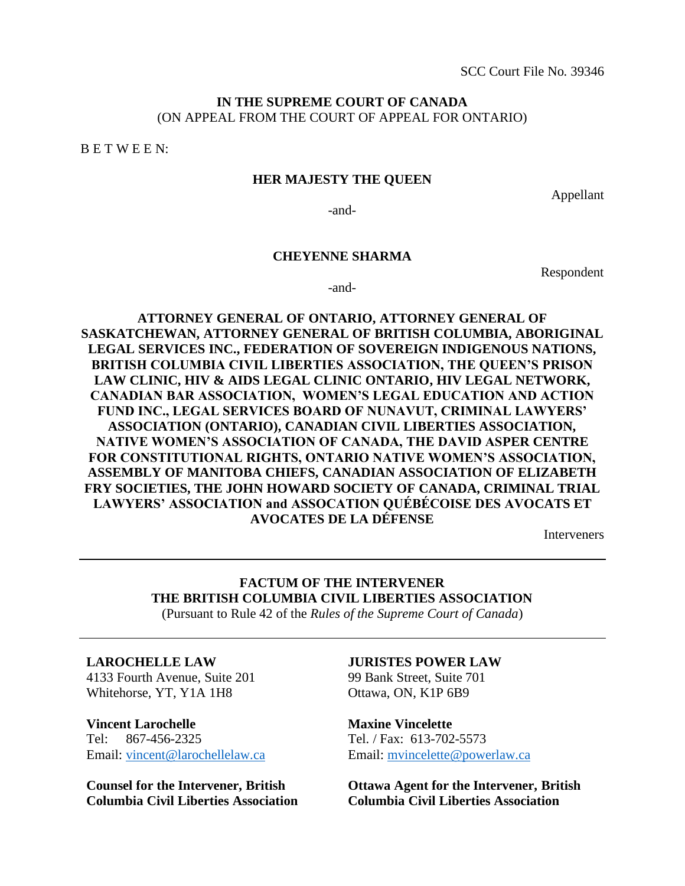## **IN THE SUPREME COURT OF CANADA** (ON APPEAL FROM THE COURT OF APPEAL FOR ONTARIO)

B E T W E E N:

### **HER MAJESTY THE QUEEN**

Appellant

-and-

#### **CHEYENNE SHARMA**

Respondent

-and-

**ATTORNEY GENERAL OF ONTARIO, ATTORNEY GENERAL OF SASKATCHEWAN, ATTORNEY GENERAL OF BRITISH COLUMBIA, ABORIGINAL LEGAL SERVICES INC., FEDERATION OF SOVEREIGN INDIGENOUS NATIONS, BRITISH COLUMBIA CIVIL LIBERTIES ASSOCIATION, THE QUEEN'S PRISON LAW CLINIC, HIV & AIDS LEGAL CLINIC ONTARIO, HIV LEGAL NETWORK, CANADIAN BAR ASSOCIATION, WOMEN'S LEGAL EDUCATION AND ACTION FUND INC., LEGAL SERVICES BOARD OF NUNAVUT, CRIMINAL LAWYERS' ASSOCIATION (ONTARIO), CANADIAN CIVIL LIBERTIES ASSOCIATION, NATIVE WOMEN'S ASSOCIATION OF CANADA, THE DAVID ASPER CENTRE FOR CONSTITUTIONAL RIGHTS, ONTARIO NATIVE WOMEN'S ASSOCIATION, ASSEMBLY OF MANITOBA CHIEFS, CANADIAN ASSOCIATION OF ELIZABETH FRY SOCIETIES, THE JOHN HOWARD SOCIETY OF CANADA, CRIMINAL TRIAL LAWYERS' ASSOCIATION and ASSOCATION QUÉBÉCOISE DES AVOCATS ET AVOCATES DE LA DÉFENSE**

Interveners

# **FACTUM OF THE INTERVENER THE BRITISH COLUMBIA CIVIL LIBERTIES ASSOCIATION**

(Pursuant to Rule 42 of the *Rules of the Supreme Court of Canada*)

#### **LAROCHELLE LAW**

4133 Fourth Avenue, Suite 201 Whitehorse, YT, Y1A 1H8

**Vincent Larochelle**  Tel: 867-456-2325 Email: [vincent@larochellelaw.ca](mailto:vincent@larochellelaw.ca)

**Counsel for the Intervener, British Columbia Civil Liberties Association**

#### **JURISTES POWER LAW**

99 Bank Street, Suite 701 Ottawa, ON, K1P 6B9

**Maxine Vincelette**  Tel. / Fax: 613-702-5573 Email: [mvincelette@powerlaw.ca](mailto:mvincelette@powerlaw.ca)

**Ottawa Agent for the Intervener, British Columbia Civil Liberties Association**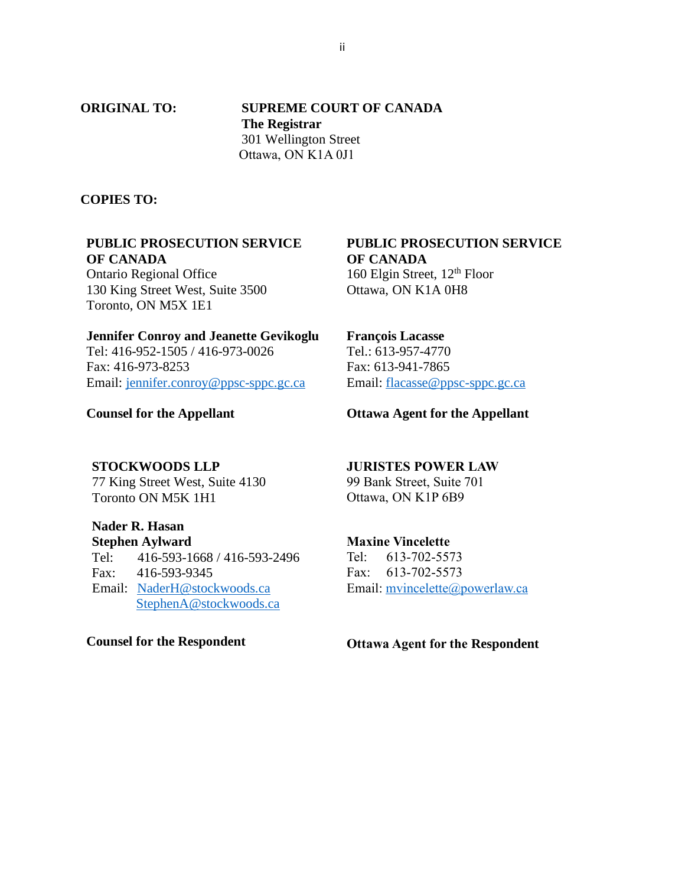**ORIGINAL TO: SUPREME COURT OF CANADA The Registrar** 301 Wellington Street Ottawa, ON K1A 0J1

### **COPIES TO:**

## **PUBLIC PROSECUTION SERVICE OF CANADA**

Ontario Regional Office 130 King Street West, Suite 3500 Toronto, ON M5X 1E1

#### **Jennifer Conroy and Jeanette Gevikoglu**

Tel: 416-952-1505 / 416-973-0026 Fax: 416-973-8253 Email: [jennifer.conroy@ppsc-sppc.gc.ca](mailto:jennifer.conroy@ppsc-sppc.gc.ca)

**Counsel for the Appellant**

### **PUBLIC PROSECUTION SERVICE OF CANADA** 160 Elgin Street,  $12<sup>th</sup>$  Floor

Ottawa, ON K1A 0H8

### **François Lacasse**

Tel.: 613-957-4770 Fax: 613-941-7865 Email[: flacasse@ppsc-sppc.gc.ca](mailto:flacasse@ppsc-sppc.gc.ca)

### **Ottawa Agent for the Appellant**

#### **STOCKWOODS LLP**

77 King Street West, Suite 4130 Toronto ON M5K 1H1

## **Nader R. Hasan**

**Stephen Aylward** Tel: 416-593-1668 / 416-593-2496 Fax: 416-593-9345 Email: [NaderH@stockwoods.ca](mailto:NaderH@stockwoods.ca) [StephenA@stockwoods.ca](mailto:StephenA@stockwoods.ca)

#### **Counsel for the Respondent**

#### **JURISTES POWER LAW**

99 Bank Street, Suite 701 Ottawa, ON K1P 6B9

## **Maxine Vincelette**

Tel: 613-702-5573 Fax: 613-702-5573 Email: [mvincelette@powerlaw.ca](mailto:mvincelette@powerlaw.ca)

**Ottawa Agent for the Respondent**

ii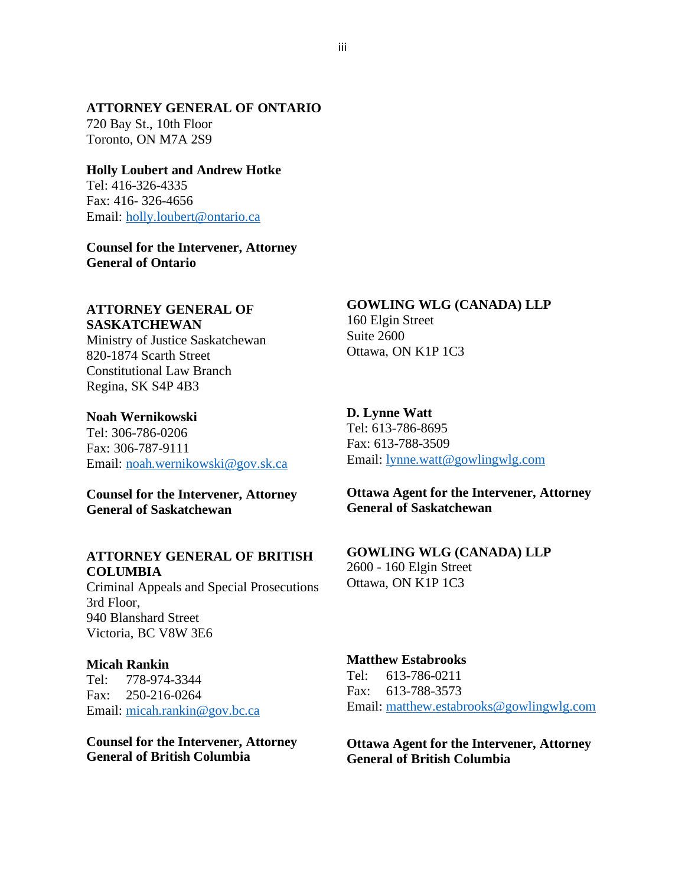### **ATTORNEY GENERAL OF ONTARIO**

720 Bay St., 10th Floor Toronto, ON M7A 2S9

## **Holly Loubert and Andrew Hotke**

Tel: 416-326-4335 Fax: 416- 326-4656 Email: [holly.loubert@ontario.ca](mailto:holly.loubert@ontario.ca)

**Counsel for the Intervener, Attorney General of Ontario**

### **ATTORNEY GENERAL OF SASKATCHEWAN**

Ministry of Justice Saskatchewan 820-1874 Scarth Street Constitutional Law Branch Regina, SK S4P 4B3

### **Noah Wernikowski**

Tel: 306-786-0206 Fax: 306-787-9111 Email: [noah.wernikowski@gov.sk.ca](mailto:noah.wernikowski@gov.sk.ca)

### **Counsel for the Intervener, Attorney General of Saskatchewan**

### **ATTORNEY GENERAL OF BRITISH COLUMBIA**

Criminal Appeals and Special Prosecutions 3rd Floor, 940 Blanshard Street Victoria, BC V8W 3E6

### **Micah Rankin**

Tel: 778-974-3344 Fax: 250-216-0264 Email: [micah.rankin@gov.bc.ca](mailto:micah.rankin@gov.bc.ca)

**Counsel for the Intervener, Attorney General of British Columbia**

#### **GOWLING WLG (CANADA) LLP**

160 Elgin Street Suite 2600 Ottawa, ON K1P 1C3

### **D. Lynne Watt**

Tel: 613-786-8695 Fax: 613-788-3509 Email[: lynne.watt@gowlingwlg.com](mailto:lynne.watt@gowlingwlg.com)

## **Ottawa Agent for the Intervener, Attorney General of Saskatchewan**

#### **GOWLING WLG (CANADA) LLP**

2600 - 160 Elgin Street Ottawa, ON K1P 1C3

# **Matthew Estabrooks**

Tel: 613-786-0211 Fax: 613-788-3573 Email: [matthew.estabrooks@gowlingwlg.com](mailto:matthew.estabrooks@gowlingwlg.com)

**Ottawa Agent for the Intervener, Attorney General of British Columbia**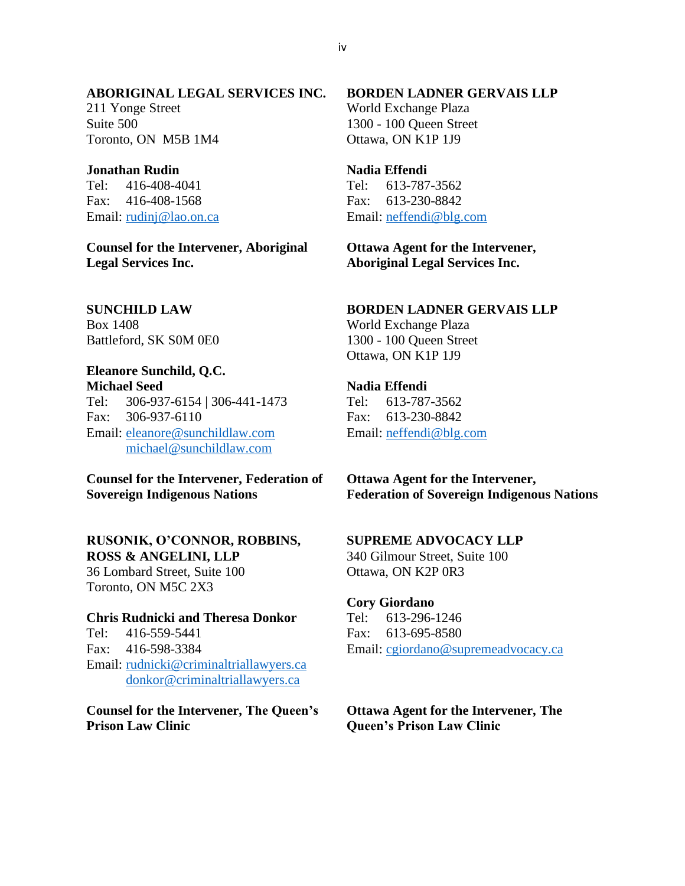### **ABORIGINAL LEGAL SERVICES INC.**

211 Yonge Street Suite 500 Toronto, ON M5B 1M4

#### **Jonathan Rudin**

Tel: 416-408-4041 Fax: 416-408-1568 Email: [rudinj@lao.on.ca](mailto:rudinj@lao.on.ca)

**Counsel for the Intervener, Aboriginal Legal Services Inc.**

## **SUNCHILD LAW** Box 1408

Battleford, SK S0M 0E0

# **Eleanore Sunchild, Q.C.**

**Michael Seed** Tel: 306-937-6154 | 306-441-1473 Fax: 306-937-6110 Email: [eleanore@sunchildlaw.com](mailto:eleanore@sunchildlaw.com) [michael@sunchildlaw.com](mailto:michael@sunchildlaw.com)

## **Counsel for the Intervener, Federation of Sovereign Indigenous Nations**

## **RUSONIK, O'CONNOR, ROBBINS, ROSS & ANGELINI, LLP**

36 Lombard Street, Suite 100 Toronto, ON M5C 2X3

### **Chris Rudnicki and Theresa Donkor**

Tel: 416-559-5441 Fax: 416-598-3384 Email: [rudnicki@criminaltriallawyers.ca](mailto:rudnicki@criminaltriallawyers.ca) [donkor@criminaltriallawyers.ca](mailto:donkor@criminaltriallawyers.ca) 

**Counsel for the Intervener, The Queen's Prison Law Clinic**

## **BORDEN LADNER GERVAIS LLP**

World Exchange Plaza 1300 - 100 Queen Street Ottawa, ON K1P 1J9

#### **Nadia Effendi**

Tel: 613-787-3562 Fax: 613-230-8842 Email: [neffendi@blg.com](mailto:neffendi@blg.com)

## **Ottawa Agent for the Intervener, Aboriginal Legal Services Inc.**

### **BORDEN LADNER GERVAIS LLP**

World Exchange Plaza 1300 - 100 Queen Street Ottawa, ON K1P 1J9

#### **Nadia Effendi**

Tel: 613-787-3562 Fax: 613-230-8842 Email: [neffendi@blg.com](mailto:neffendi@blg.com)

**Ottawa Agent for the Intervener, Federation of Sovereign Indigenous Nations**

### **SUPREME ADVOCACY LLP**

340 Gilmour Street, Suite 100 Ottawa, ON K2P 0R3

#### **Cory Giordano**

Tel: 613-296-1246 Fax: 613-695-8580 Email: [cgiordano@supremeadvocacy.ca](mailto:cgiordano@supremeadvocacy.ca)

## **Ottawa Agent for the Intervener, The Queen's Prison Law Clinic**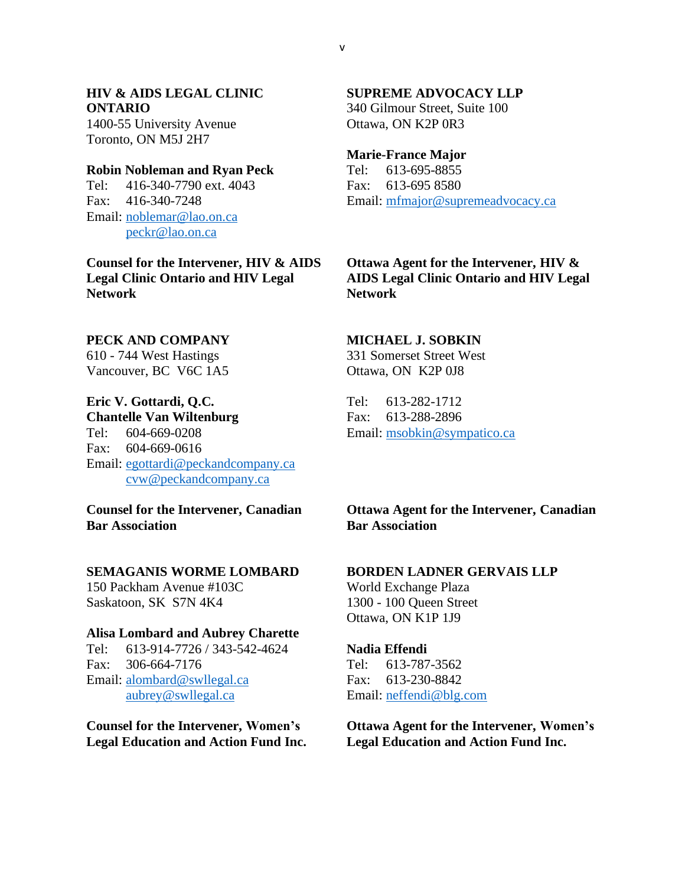# **HIV & AIDS LEGAL CLINIC ONTARIO**

1400-55 University Avenue Toronto, ON M5J 2H7

### **Robin Nobleman and Ryan Peck**

Tel: 416-340-7790 ext. 4043 Fax: 416-340-7248 Email: [noblemar@lao.on.ca](mailto:noblemar@lao.on.ca) [peckr@lao.on.ca](mailto:peckr@lao.on.ca)

**Counsel for the Intervener, HIV & AIDS Legal Clinic Ontario and HIV Legal Network**

### **PECK AND COMPANY**

610 - 744 West Hastings Vancouver, BC V6C 1A5

### **Eric V. Gottardi, Q.C.**

**Chantelle Van Wiltenburg** Tel: 604-669-0208 Fax: 604-669-0616 Email: [egottardi@peckandcompany.ca](mailto:egottardi@peckandcompany.ca) [cvw@peckandcompany.ca](mailto:cvw@peckandcompany.ca) 

**Counsel for the Intervener, Canadian Bar Association**

## **SEMAGANIS WORME LOMBARD**

150 Packham Avenue #103C Saskatoon, SK S7N 4K4

### **Alisa Lombard and Aubrey Charette**

Tel: 613-914-7726 / 343-542-4624 Fax: 306-664-7176 Email: [alombard@swllegal.ca](mailto:alombard@swllegal.ca) [aubrey@swllegal.ca](mailto:aubrey@swllegal.ca)

**Counsel for the Intervener, Women's Legal Education and Action Fund Inc.**

## **SUPREME ADVOCACY LLP**

340 Gilmour Street, Suite 100 Ottawa, ON K2P 0R3

#### **Marie-France Major**

Tel: 613-695-8855 Fax: 613-695 8580 Email: [mfmajor@supremeadvocacy.ca](mailto:mfmajor@supremeadvocacy.ca)

## **Ottawa Agent for the Intervener, HIV & AIDS Legal Clinic Ontario and HIV Legal Network**

### **MICHAEL J. SOBKIN**

331 Somerset Street West Ottawa, ON K2P 0J8

Tel: 613-282-1712 Fax: 613-288-2896 Email: [msobkin@sympatico.ca](mailto:msobkin@sympatico.ca)

**Ottawa Agent for the Intervener, Canadian Bar Association**

## **BORDEN LADNER GERVAIS LLP**

World Exchange Plaza 1300 - 100 Queen Street Ottawa, ON K1P 1J9

#### **Nadia Effendi**

Tel: 613-787-3562 Fax: 613-230-8842 Email: [neffendi@blg.com](mailto:neffendi@blg.com)

**Ottawa Agent for the Intervener, Women's Legal Education and Action Fund Inc.**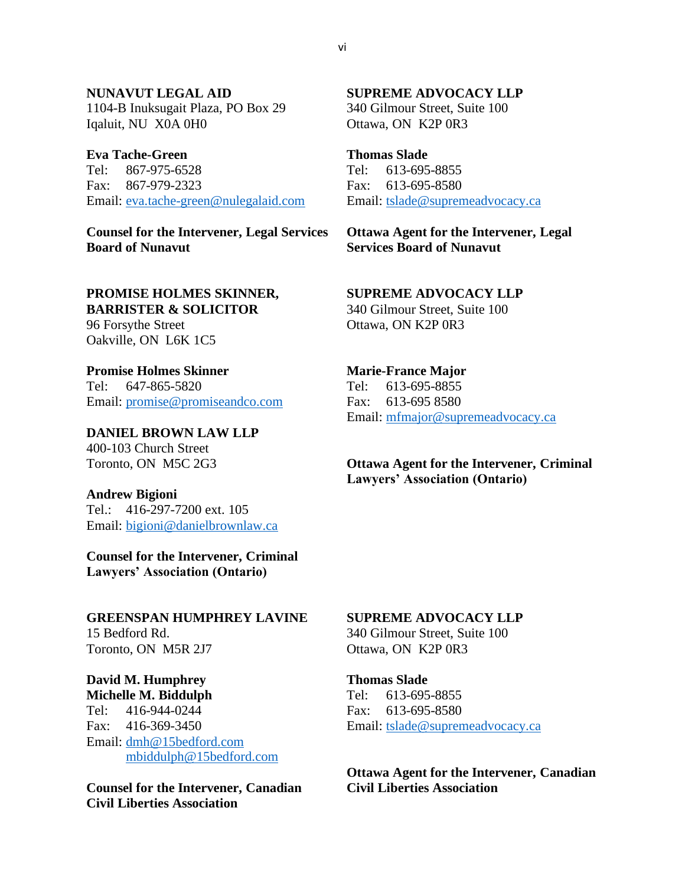## **NUNAVUT LEGAL AID**  1104-B Inuksugait Plaza, PO Box 29 Iqaluit, NU X0A 0H0

**Eva Tache-Green**  Tel: 867-975-6528 Fax: 867-979-2323 Email: [eva.tache-green@nulegalaid.com](mailto:eva.tache-green@nulegalaid.com)

**Counsel for the Intervener, Legal Services Board of Nunavut**

## **PROMISE HOLMES SKINNER,**

**BARRISTER & SOLICITOR**  96 Forsythe Street Oakville, ON L6K 1C5

**Promise Holmes Skinner**  Tel: 647-865-5820 Email: [promise@promiseandco.com](mailto:promise@promiseandco.com) 

## **DANIEL BROWN LAW LLP**

400-103 Church Street Toronto, ON M5C 2G3

### **Andrew Bigioni**

Tel.: 416-297-7200 ext. 105 Email: [bigioni@danielbrownlaw.ca](mailto:bigioni@danielbrownlaw.ca)

**Counsel for the Intervener, Criminal Lawyers' Association (Ontario)**

## **GREENSPAN HUMPHREY LAVINE** 15 Bedford Rd. Toronto, ON M5R 2J7

**David M. Humphrey Michelle M. Biddulph** Tel: 416-944-0244 Fax: 416-369-3450 Email: [dmh@15bedford.com](mailto:dmh@15bedford.com) [mbiddulph@15bedford.com](mailto:mbiddulph@15bedford.com)

**Counsel for the Intervener, Canadian Civil Liberties Association**

## **SUPREME ADVOCACY LLP**

340 Gilmour Street, Suite 100 Ottawa, ON K2P 0R3

## **Thomas Slade**

Tel: 613-695-8855 Fax: 613-695-8580 Email: [tslade@supremeadvocacy.ca](mailto:tslade@supremeadvocacy.ca)

**Ottawa Agent for the Intervener, Legal Services Board of Nunavut**

### **SUPREME ADVOCACY LLP**

340 Gilmour Street, Suite 100 Ottawa, ON K2P 0R3

## **Marie-France Major**

Tel: 613-695-8855 Fax: 613-695 8580 Email: [mfmajor@supremeadvocacy.ca](mailto:mfmajor@supremeadvocacy.ca)

## **Ottawa Agent for the Intervener, Criminal Lawyers' Association (Ontario)**

# **SUPREME ADVOCACY LLP**

340 Gilmour Street, Suite 100 Ottawa, ON K2P 0R3

**Thomas Slade**  Tel: 613-695-8855 Fax: 613-695-8580 Email: [tslade@supremeadvocacy.ca](mailto:tslade@supremeadvocacy.ca)

**Ottawa Agent for the Intervener, Canadian Civil Liberties Association**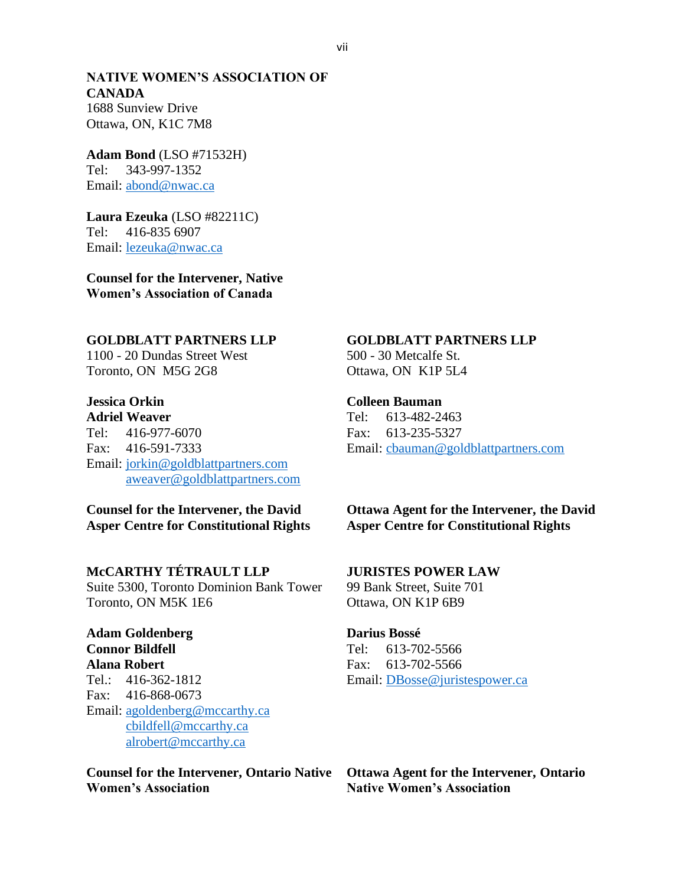## **NATIVE WOMEN'S ASSOCIATION OF CANADA** 1688 Sunview Drive

Ottawa, ON, K1C 7M8

**Adam Bond** (LSO #71532H) Tel: 343-997-1352 Email: [abond@nwac.ca](mailto:abond@nwac.ca) 

**Laura Ezeuka** (LSO #82211C) Tel: 416-835 6907 Email: [lezeuka@nwac.ca](mailto:lezeuka@nwac.ca) 

**Counsel for the Intervener, Native Women's Association of Canada**

## **GOLDBLATT PARTNERS LLP**

1100 - 20 Dundas Street West Toronto, ON M5G 2G8

# **Jessica Orkin**

**Adriel Weaver** Tel: 416-977-6070 Fax: 416-591-7333 Email: [jorkin@goldblattpartners.com](mailto:jorkin@goldblattpartners.com) [aweaver@goldblattpartners.com](mailto:aweaver@goldblattpartners.com)

**Counsel for the Intervener, the David Asper Centre for Constitutional Rights**

## **McCARTHY TÉTRAULT LLP**

Suite 5300, Toronto Dominion Bank Tower Toronto, ON M5K 1E6

**Adam Goldenberg Connor Bildfell Alana Robert** Tel.: 416-362-1812 Fax: 416-868-0673 Email: [agoldenberg@mccarthy.ca](mailto:agoldenberg@mccarthy.ca) [cbildfell@mccarthy.ca](mailto:cbildfell@mccarthy.ca) [alrobert@mccarthy.ca](mailto:alrobert@mccarthy.ca)

### **Counsel for the Intervener, Ontario Native Women's Association**

## **GOLDBLATT PARTNERS LLP**

500 - 30 Metcalfe St. Ottawa, ON K1P 5L4

### **Colleen Bauman**

Tel: 613-482-2463 Fax: 613-235-5327 Email: [cbauman@goldblattpartners.com](mailto:cbauman@goldblattpartners.com)

## **Ottawa Agent for the Intervener, the David Asper Centre for Constitutional Rights**

## **JURISTES POWER LAW**

99 Bank Street, Suite 701 Ottawa, ON K1P 6B9

### **Darius Bossé**

Tel: 613-702-5566 Fax: 613-702-5566 Email: [DBosse@juristespower.ca](mailto:DBosse@juristespower.ca)

**Ottawa Agent for the Intervener, Ontario Native Women's Association**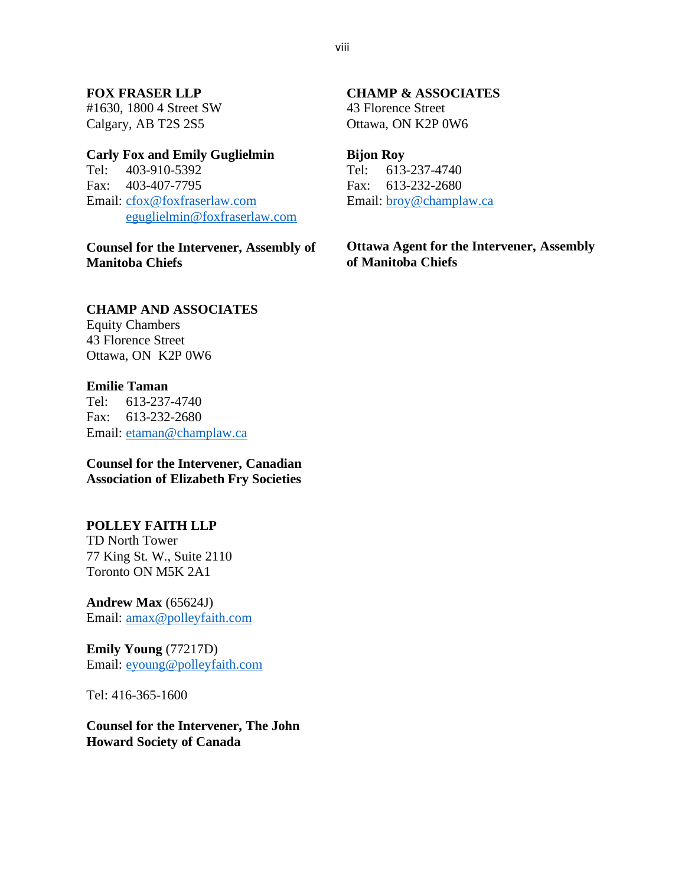## **FOX FRASER LLP**

#1630, 1800 4 Street SW Calgary, AB T2S 2S5

#### **Carly Fox and Emily Guglielmin**

Tel: 403-910-5392 Fax: 403-407-7795 Email: [cfox@foxfraserlaw.com](mailto:cfox@foxfraserlaw.com) [eguglielmin@foxfraserlaw.com](mailto:eguglielmin@foxfraserlaw.com)

**Counsel for the Intervener, Assembly of Manitoba Chiefs**

## **CHAMP AND ASSOCIATES**

Equity Chambers 43 Florence Street Ottawa, ON K2P 0W6

### **Emilie Taman**

Tel: 613-237-4740 Fax: 613-232-2680 Email: [etaman@champlaw.ca](mailto:etaman@champlaw.ca)

**Counsel for the Intervener, Canadian Association of Elizabeth Fry Societies**

## **POLLEY FAITH LLP**

TD North Tower 77 King St. W., Suite 2110 Toronto ON M5K 2A1

**Andrew Max** (65624J) Email: [amax@polleyfaith.com](mailto:amax@polleyfaith.com)

**Emily Young** (77217D) Email: [eyoung@polleyfaith.com](mailto:eyoung@polleyfaith.com)

Tel: 416-365-1600

**Counsel for the Intervener, The John Howard Society of Canada**

## **CHAMP & ASSOCIATES**

43 Florence Street Ottawa, ON K2P 0W6

#### **Bijon Roy**

Tel: 613-237-4740 Fax: 613-232-2680 Email: [broy@champlaw.ca](mailto:broy@champlaw.ca)

## **Ottawa Agent for the Intervener, Assembly of Manitoba Chiefs**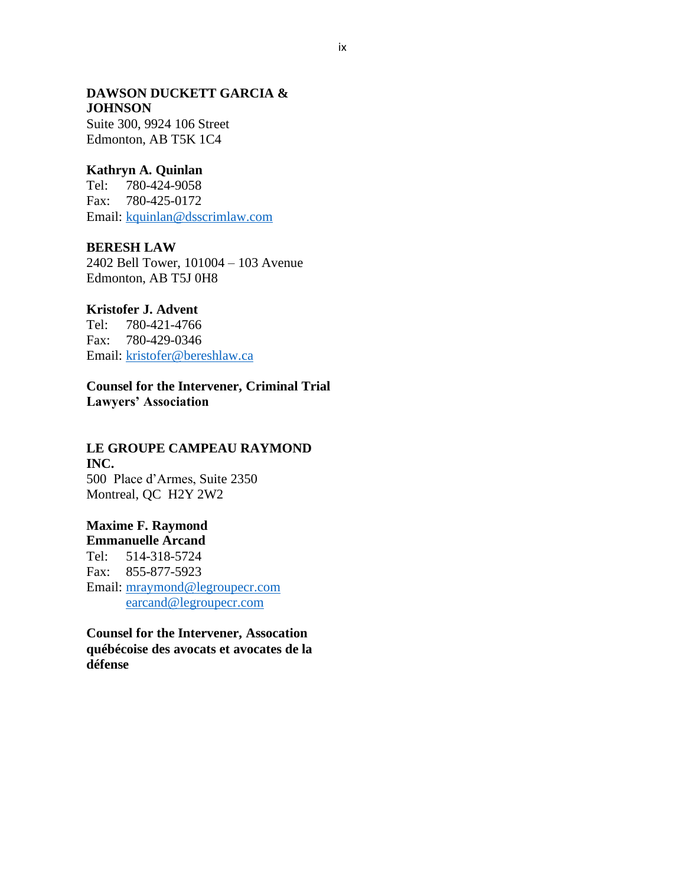#### **DAWSON DUCKETT GARCIA & JOHNSON**

Suite 300, 9924 106 Street Edmonton, AB T5K 1C4

## **Kathryn A. Quinlan**

Tel: 780-424-9058 Fax: 780-425-0172 Email: [kquinlan@dsscrimlaw.com](mailto:kquinlan@dsscrimlaw.com)

## **BERESH LAW**

2402 Bell Tower, 101004 – 103 Avenue Edmonton, AB T5J 0H8

## **Kristofer J. Advent**

Tel: 780-421-4766 Fax: 780-429-0346 Email: [kristofer@bereshlaw.ca](mailto:kristofer@bereshlaw.ca)

**Counsel for the Intervener, Criminal Trial Lawyers' Association**

### **LE GROUPE CAMPEAU RAYMOND INC.**

500 Place d'Armes, Suite 2350 Montreal, QC H2Y 2W2

# **Maxime F. Raymond**

**Emmanuelle Arcand** Tel: 514-318-5724 Fax: 855-877-5923 Email: [mraymond@legroupecr.com](mailto:mraymond@legroupecr.com) [earcand@legroupecr.com](mailto:earcand@legroupecr.com)

**Counsel for the Intervener, Assocation québécoise des avocats et avocates de la défense**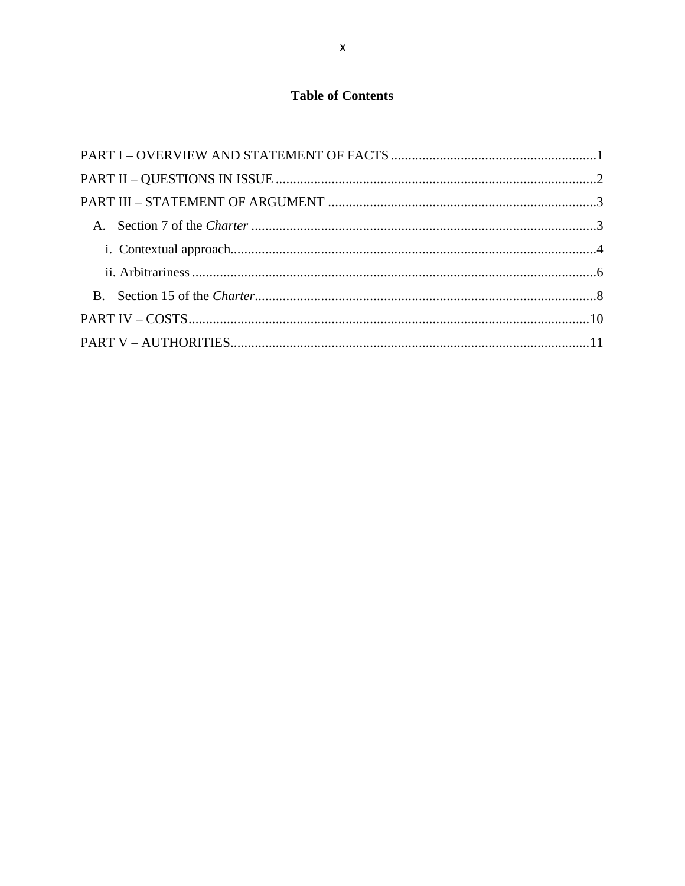# **Table of Contents**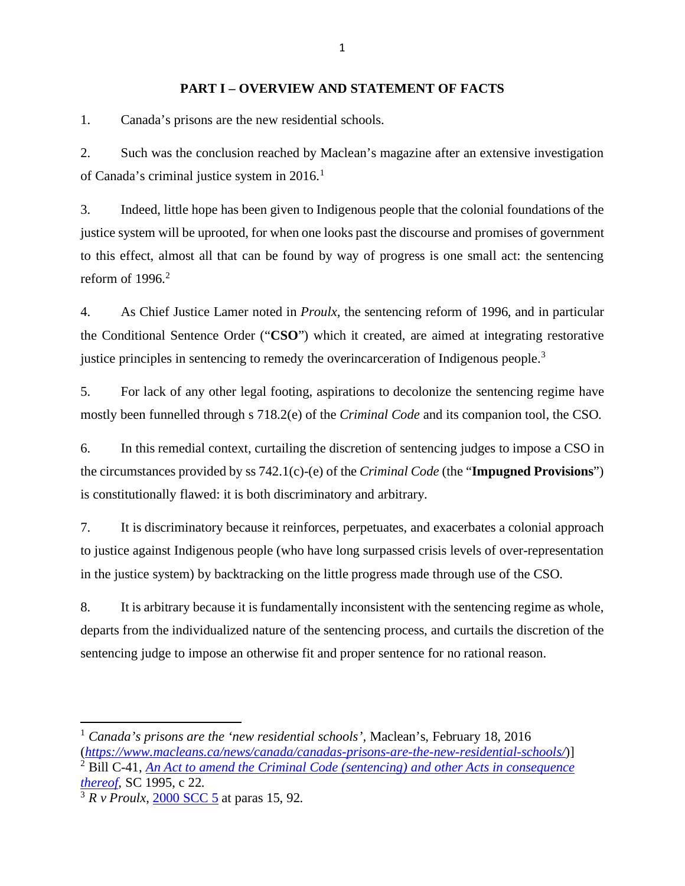### **PART I – OVERVIEW AND STATEMENT OF FACTS**

<span id="page-10-0"></span>1. Canada's prisons are the new residential schools.

2. Such was the conclusion reached by Maclean's magazine after an extensive investigation of Canada's criminal justice system in 20[1](#page-10-1)6.<sup>1</sup>

3. Indeed, little hope has been given to Indigenous people that the colonial foundations of the justice system will be uprooted, for when one looks past the discourse and promises of government to this effect, almost all that can be found by way of progress is one small act: the sentencing reform of  $1996<sup>2</sup>$  $1996<sup>2</sup>$  $1996<sup>2</sup>$ 

4. As Chief Justice Lamer noted in *Proulx,* the sentencing reform of 1996, and in particular the Conditional Sentence Order ("**CSO**") which it created, are aimed at integrating restorative justice principles in sentencing to remedy the overincarceration of Indigenous people.<sup>[3](#page-10-3)</sup>

5. For lack of any other legal footing, aspirations to decolonize the sentencing regime have mostly been funnelled through s 718.2(e) of the *Criminal Code* and its companion tool, the CSO.

6. In this remedial context, curtailing the discretion of sentencing judges to impose a CSO in the circumstances provided by ss 742.1(c)-(e) of the *Criminal Code* (the "**Impugned Provisions**") is constitutionally flawed: it is both discriminatory and arbitrary.

7. It is discriminatory because it reinforces, perpetuates, and exacerbates a colonial approach to justice against Indigenous people (who have long surpassed crisis levels of over-representation in the justice system) by backtracking on the little progress made through use of the CSO.

8. It is arbitrary because it is fundamentally inconsistent with the sentencing regime as whole, departs from the individualized nature of the sentencing process, and curtails the discretion of the sentencing judge to impose an otherwise fit and proper sentence for no rational reason.

<span id="page-10-1"></span><sup>1</sup> *Canada's prisons are the 'new residential schools',* Maclean's, February 18, 2016

<span id="page-10-2"></span><sup>(</sup>*<https://www.macleans.ca/news/canada/canadas-prisons-are-the-new-residential-schools/>*)] <sup>2</sup> Bill C-41, *[An Act to amend the Criminal Code \(sentencing\) and other Acts in consequence](https://www.parl.ca/Content/Bills/351/Government/c-41/c-41_4/c-41_4.pdf)* 

*[thereof,](https://www.parl.ca/Content/Bills/351/Government/c-41/c-41_4/c-41_4.pdf)* SC 1995, c 22.

<span id="page-10-3"></span> $\frac{3}{3}$  *R v Proulx*, 2000 SCC  $\frac{5}{2}$  at paras 15, 92.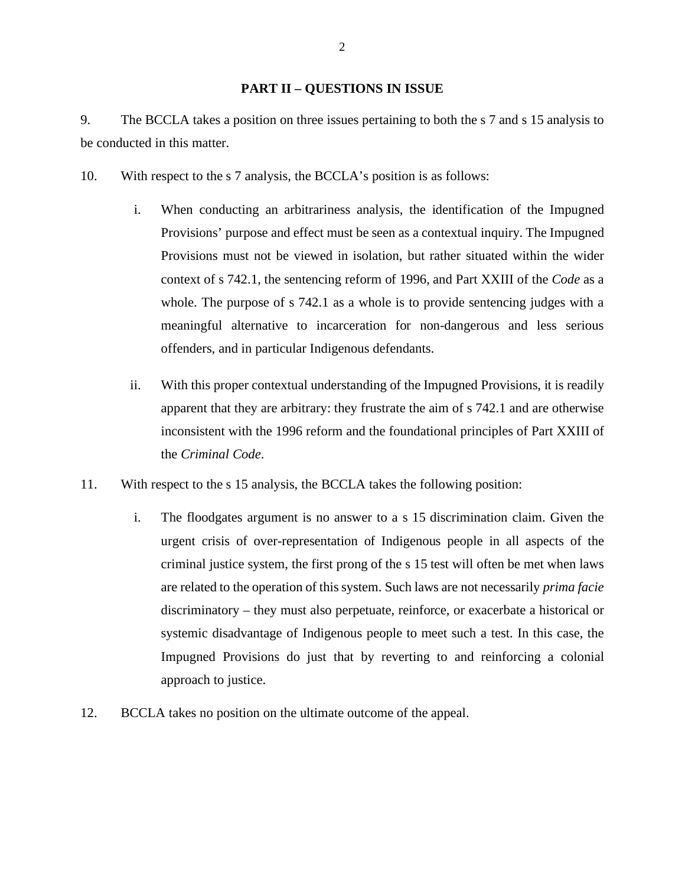### **PART II – QUESTIONS IN ISSUE**

<span id="page-11-0"></span>9. The BCCLA takes a position on three issues pertaining to both the s 7 and s 15 analysis to be conducted in this matter.

- 10. With respect to the s 7 analysis, the BCCLA's position is as follows:
	- i. When conducting an arbitrariness analysis, the identification of the Impugned Provisions' purpose and effect must be seen as a contextual inquiry. The Impugned Provisions must not be viewed in isolation, but rather situated within the wider context of s 742.1, the sentencing reform of 1996, and Part XXIII of the *Code* as a whole. The purpose of s 742.1 as a whole is to provide sentencing judges with a meaningful alternative to incarceration for non-dangerous and less serious offenders, and in particular Indigenous defendants.
	- ii. With this proper contextual understanding of the Impugned Provisions, it is readily apparent that they are arbitrary: they frustrate the aim of s 742.1 and are otherwise inconsistent with the 1996 reform and the foundational principles of Part XXIII of the *Criminal Code*.
- 11. With respect to the s 15 analysis, the BCCLA takes the following position:
	- i. The floodgates argument is no answer to a s 15 discrimination claim. Given the urgent crisis of over-representation of Indigenous people in all aspects of the criminal justice system, the first prong of the s 15 test will often be met when laws are related to the operation of this system. Such laws are not necessarily *prima facie*  discriminatory – they must also perpetuate, reinforce, or exacerbate a historical or systemic disadvantage of Indigenous people to meet such a test. In this case, the Impugned Provisions do just that by reverting to and reinforcing a colonial approach to justice.
- 12. BCCLA takes no position on the ultimate outcome of the appeal.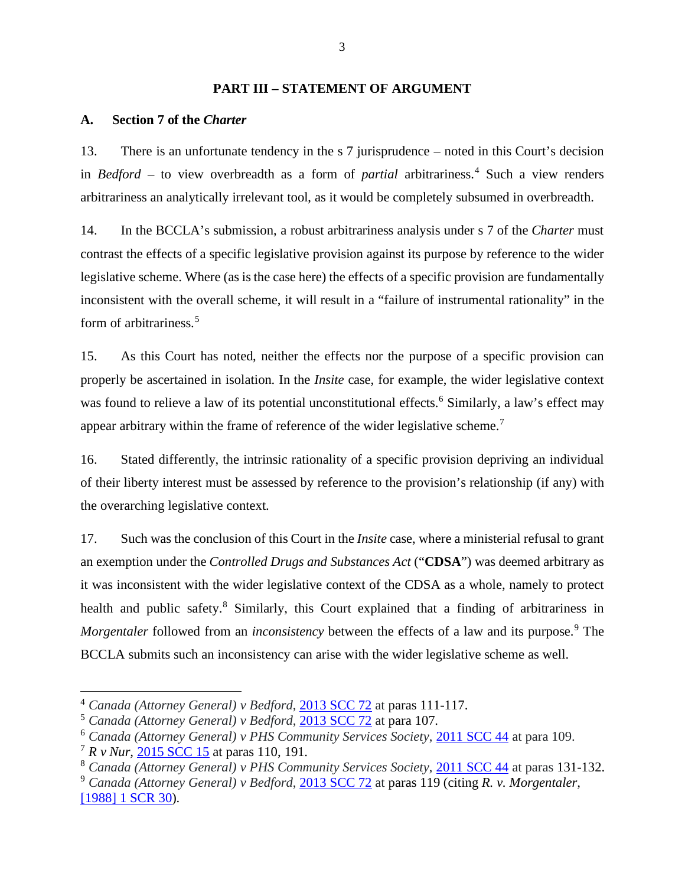### **PART III – STATEMENT OF ARGUMENT**

#### <span id="page-12-1"></span><span id="page-12-0"></span>**A. Section 7 of the** *Charter*

13. There is an unfortunate tendency in the s 7 jurisprudence – noted in this Court's decision in *Bedford* – to view overbreadth as a form of *partial* arbitrariness.<sup>[4](#page-12-2)</sup> Such a view renders arbitrariness an analytically irrelevant tool, as it would be completely subsumed in overbreadth.

14. In the BCCLA's submission, a robust arbitrariness analysis under s 7 of the *Charter* must contrast the effects of a specific legislative provision against its purpose by reference to the wider legislative scheme. Where (as is the case here) the effects of a specific provision are fundamentally inconsistent with the overall scheme, it will result in a "failure of instrumental rationality" in the form of arbitrariness. [5](#page-12-3)

15. As this Court has noted, neither the effects nor the purpose of a specific provision can properly be ascertained in isolation. In the *Insite* case, for example, the wider legislative context was found to relieve a law of its potential unconstitutional effects.<sup>[6](#page-12-4)</sup> Similarly, a law's effect may appear arbitrary within the frame of reference of the wider legislative scheme.<sup>[7](#page-12-5)</sup>

16. Stated differently, the intrinsic rationality of a specific provision depriving an individual of their liberty interest must be assessed by reference to the provision's relationship (if any) with the overarching legislative context.

17. Such was the conclusion of this Court in the *Insite* case, where a ministerial refusal to grant an exemption under the *Controlled Drugs and Substances Act* ("**CDSA**") was deemed arbitrary as it was inconsistent with the wider legislative context of the CDSA as a whole, namely to protect health and public safety.<sup>[8](#page-12-6)</sup> Similarly, this Court explained that a finding of arbitrariness in *Morgentaler* followed from an *inconsistency* between the effects of a law and its purpose.<sup>[9](#page-12-7)</sup> The BCCLA submits such an inconsistency can arise with the wider legislative scheme as well.

<span id="page-12-2"></span><sup>4</sup> *Canada (Attorney General) v Bedford*, [2013 SCC 72](https://decisions.scc-csc.ca/scc-csc/scc-csc/en/13389/1/document.do) at paras 111-117.

<span id="page-12-3"></span><sup>5</sup> *Canada (Attorney General) v Bedford*, [2013 SCC 72](https://decisions.scc-csc.ca/scc-csc/scc-csc/en/13389/1/document.do) at para 107.

<span id="page-12-4"></span><sup>6</sup> *Canada (Attorney General) v PHS Community Services Society*, 2011 [SCC 44](https://decisions.scc-csc.ca/scc-csc/scc-csc/en/7960/1/document.do) at para 109.

<span id="page-12-5"></span><sup>7</sup> *R v Nur,* [2015 SCC 15](https://decisions.scc-csc.ca/scc-csc/scc-csc/en/15272/1/document.do) at paras 110, 191.

<span id="page-12-6"></span><sup>8</sup> *Canada (Attorney General) v PHS Community Services Society*, [2011 SCC 44](https://decisions.scc-csc.ca/scc-csc/scc-csc/en/7960/1/document.do) at paras 131-132.

<span id="page-12-7"></span><sup>9</sup> *Canada (Attorney General) v Bedford*, [2013 SCC 72](https://decisions.scc-csc.ca/scc-csc/scc-csc/en/13389/1/document.do) at paras 119 (citing *R. v. Morgentaler,*  [\[1988\] 1 SCR 30\)](https://decisions.scc-csc.ca/scc-csc/scc-csc/en/288/1/document.do).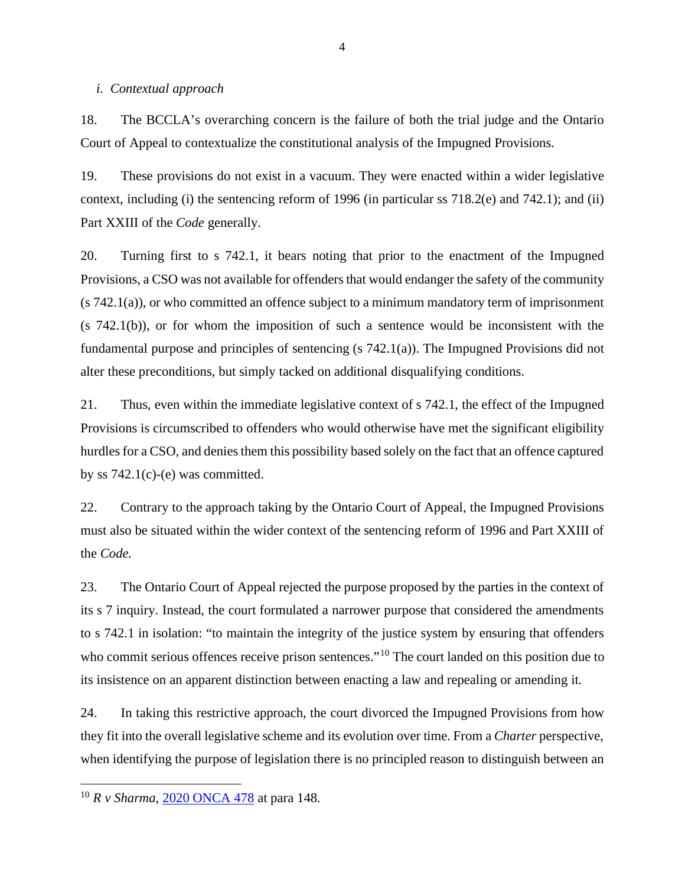#### <span id="page-13-0"></span>*i. Contextual approach*

18. The BCCLA's overarching concern is the failure of both the trial judge and the Ontario Court of Appeal to contextualize the constitutional analysis of the Impugned Provisions.

19. These provisions do not exist in a vacuum. They were enacted within a wider legislative context, including (i) the sentencing reform of 1996 (in particular ss 718.2(e) and 742.1); and (ii) Part XXIII of the *Code* generally.

20. Turning first to s 742.1, it bears noting that prior to the enactment of the Impugned Provisions, a CSO was not available for offenders that would endanger the safety of the community (s 742.1(a)), or who committed an offence subject to a minimum mandatory term of imprisonment (s 742.1(b)), or for whom the imposition of such a sentence would be inconsistent with the fundamental purpose and principles of sentencing (s 742.1(a)). The Impugned Provisions did not alter these preconditions, but simply tacked on additional disqualifying conditions.

21. Thus, even within the immediate legislative context of s 742.1, the effect of the Impugned Provisions is circumscribed to offenders who would otherwise have met the significant eligibility hurdles for a CSO, and denies them this possibility based solely on the fact that an offence captured by ss  $742.1(c)$ -(e) was committed.

22. Contrary to the approach taking by the Ontario Court of Appeal, the Impugned Provisions must also be situated within the wider context of the sentencing reform of 1996 and Part XXIII of the *Code.* 

23. The Ontario Court of Appeal rejected the purpose proposed by the parties in the context of its s 7 inquiry. Instead, the court formulated a narrower purpose that considered the amendments to s 742.1 in isolation: "to maintain the integrity of the justice system by ensuring that offenders who commit serious offences receive prison sentences."<sup>[10](#page-13-1)</sup> The court landed on this position due to its insistence on an apparent distinction between enacting a law and repealing or amending it.

24. In taking this restrictive approach, the court divorced the Impugned Provisions from how they fit into the overall legislative scheme and its evolution over time. From a *Charter* perspective, when identifying the purpose of legislation there is no principled reason to distinguish between an

<span id="page-13-1"></span><sup>10</sup> *R v Sharma*, [2020 ONCA 478](https://www.ontariocourts.ca/decisions/2020/2020ONCA0478.htm) at para 148.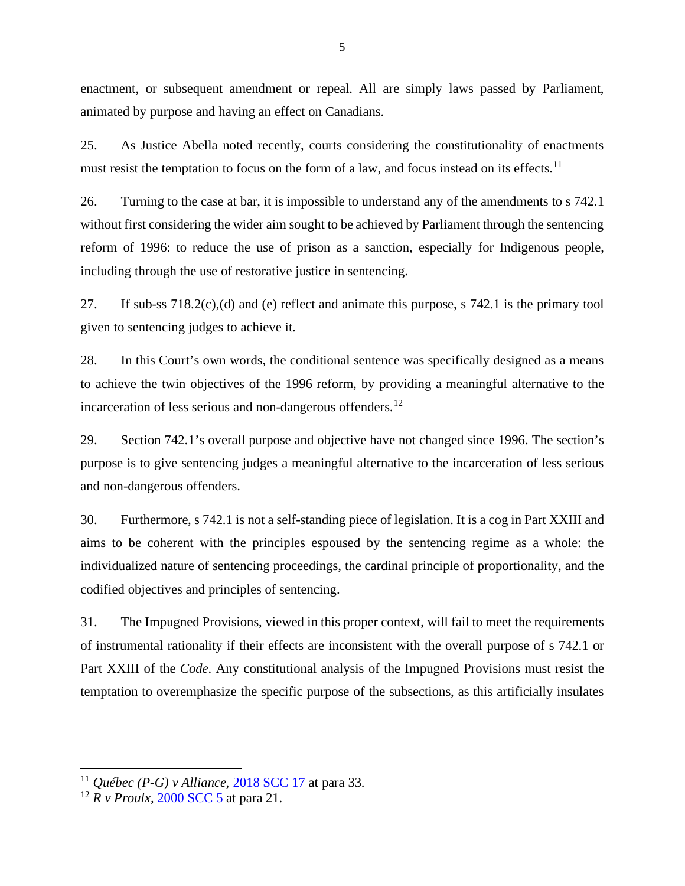enactment, or subsequent amendment or repeal. All are simply laws passed by Parliament, animated by purpose and having an effect on Canadians.

25. As Justice Abella noted recently, courts considering the constitutionality of enactments must resist the temptation to focus on the form of a law, and focus instead on its effects.<sup>[11](#page-14-0)</sup>

26. Turning to the case at bar, it is impossible to understand any of the amendments to s 742.1 without first considering the wider aim sought to be achieved by Parliament through the sentencing reform of 1996: to reduce the use of prison as a sanction, especially for Indigenous people, including through the use of restorative justice in sentencing.

27. If sub-ss 718.2(c),(d) and (e) reflect and animate this purpose, s 742.1 is the primary tool given to sentencing judges to achieve it.

28. In this Court's own words, the conditional sentence was specifically designed as a means to achieve the twin objectives of the 1996 reform, by providing a meaningful alternative to the incarceration of less serious and non-dangerous offenders.<sup>[12](#page-14-1)</sup>

29. Section 742.1's overall purpose and objective have not changed since 1996. The section's purpose is to give sentencing judges a meaningful alternative to the incarceration of less serious and non-dangerous offenders.

30. Furthermore, s 742.1 is not a self-standing piece of legislation. It is a cog in Part XXIII and aims to be coherent with the principles espoused by the sentencing regime as a whole: the individualized nature of sentencing proceedings, the cardinal principle of proportionality, and the codified objectives and principles of sentencing.

31. The Impugned Provisions, viewed in this proper context, will fail to meet the requirements of instrumental rationality if their effects are inconsistent with the overall purpose of s 742.1 or Part XXIII of the *Code*. Any constitutional analysis of the Impugned Provisions must resist the temptation to overemphasize the specific purpose of the subsections, as this artificially insulates

<span id="page-14-0"></span><sup>11</sup> *Québec (P-G) v Alliance,* [2018 SCC 17](https://decisions.scc-csc.ca/scc-csc/scc-csc/en/17077/1/document.do) at para 33.

<span id="page-14-1"></span><sup>12</sup> *R v Proulx,* [2000 SCC 5](https://decisions.scc-csc.ca/scc-csc/scc-csc/en/1766/1/document.do) at para 21.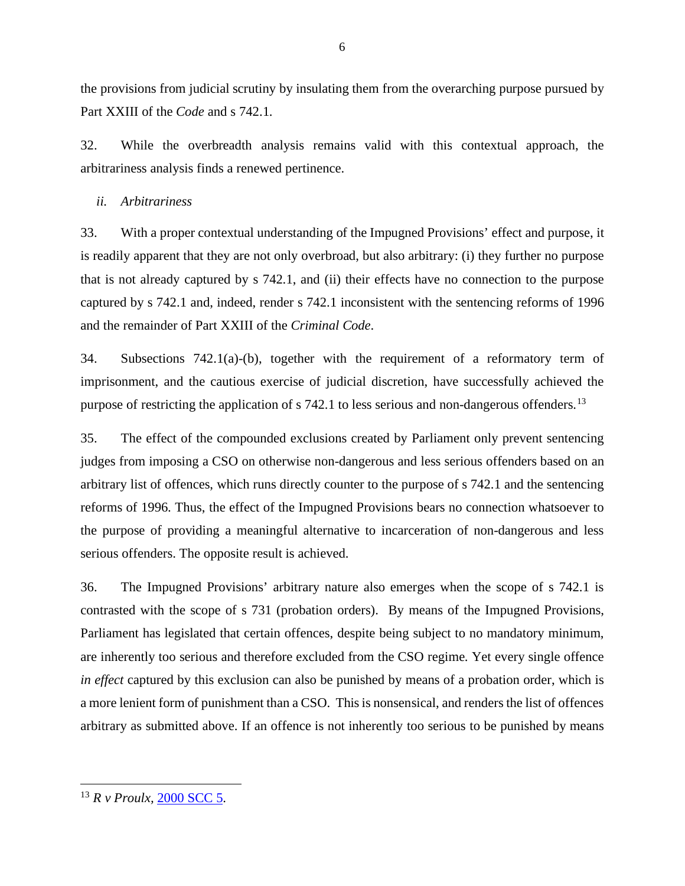the provisions from judicial scrutiny by insulating them from the overarching purpose pursued by Part XXIII of the *Code* and s 742.1.

32. While the overbreadth analysis remains valid with this contextual approach, the arbitrariness analysis finds a renewed pertinence.

### <span id="page-15-0"></span>*ii. Arbitrariness*

33. With a proper contextual understanding of the Impugned Provisions' effect and purpose, it is readily apparent that they are not only overbroad, but also arbitrary: (i) they further no purpose that is not already captured by s 742.1, and (ii) their effects have no connection to the purpose captured by s 742.1 and, indeed, render s 742.1 inconsistent with the sentencing reforms of 1996 and the remainder of Part XXIII of the *Criminal Code*.

34. Subsections 742.1(a)-(b), together with the requirement of a reformatory term of imprisonment, and the cautious exercise of judicial discretion, have successfully achieved the purpose of restricting the application of s 742.1 to less serious and non-dangerous offenders.<sup>[13](#page-15-1)</sup>

35. The effect of the compounded exclusions created by Parliament only prevent sentencing judges from imposing a CSO on otherwise non-dangerous and less serious offenders based on an arbitrary list of offences, which runs directly counter to the purpose of s 742.1 and the sentencing reforms of 1996. Thus, the effect of the Impugned Provisions bears no connection whatsoever to the purpose of providing a meaningful alternative to incarceration of non-dangerous and less serious offenders. The opposite result is achieved.

<span id="page-15-1"></span>36. The Impugned Provisions' arbitrary nature also emerges when the scope of s 742.1 is contrasted with the scope of s 731 (probation orders). By means of the Impugned Provisions, Parliament has legislated that certain offences, despite being subject to no mandatory minimum, are inherently too serious and therefore excluded from the CSO regime. Yet every single offence *in effect* captured by this exclusion can also be punished by means of a probation order, which is a more lenient form of punishment than a CSO. This is nonsensical, and renders the list of offences arbitrary as submitted above. If an offence is not inherently too serious to be punished by means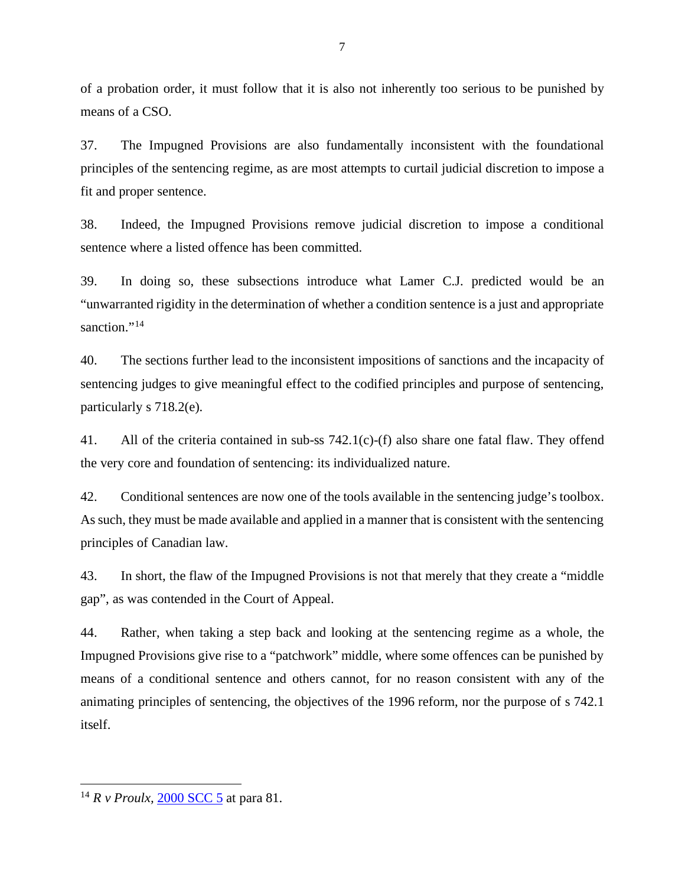of a probation order, it must follow that it is also not inherently too serious to be punished by means of a CSO.

37. The Impugned Provisions are also fundamentally inconsistent with the foundational principles of the sentencing regime, as are most attempts to curtail judicial discretion to impose a fit and proper sentence.

38. Indeed, the Impugned Provisions remove judicial discretion to impose a conditional sentence where a listed offence has been committed.

39. In doing so, these subsections introduce what Lamer C.J. predicted would be an "unwarranted rigidity in the determination of whether a condition sentence is a just and appropriate sanction."<sup>[14](#page-16-0)</sup>

40. The sections further lead to the inconsistent impositions of sanctions and the incapacity of sentencing judges to give meaningful effect to the codified principles and purpose of sentencing, particularly s 718.2(e).

41. All of the criteria contained in sub-ss 742.1(c)-(f) also share one fatal flaw. They offend the very core and foundation of sentencing: its individualized nature.

42. Conditional sentences are now one of the tools available in the sentencing judge's toolbox. As such, they must be made available and applied in a manner that is consistent with the sentencing principles of Canadian law.

43. In short, the flaw of the Impugned Provisions is not that merely that they create a "middle gap", as was contended in the Court of Appeal.

44. Rather, when taking a step back and looking at the sentencing regime as a whole, the Impugned Provisions give rise to a "patchwork" middle, where some offences can be punished by means of a conditional sentence and others cannot, for no reason consistent with any of the animating principles of sentencing, the objectives of the 1996 reform, nor the purpose of s 742.1 itself.

<span id="page-16-0"></span><sup>&</sup>lt;sup>14</sup> *R v Proulx,* [2000 SCC 5](https://decisions.scc-csc.ca/scc-csc/scc-csc/en/1766/1/document.do) at para 81.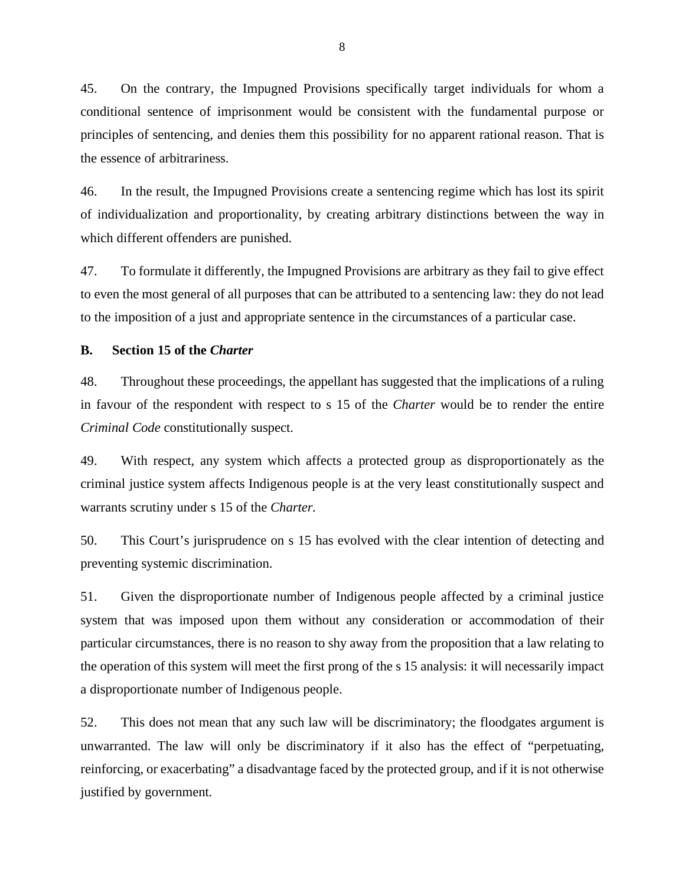45. On the contrary, the Impugned Provisions specifically target individuals for whom a conditional sentence of imprisonment would be consistent with the fundamental purpose or principles of sentencing, and denies them this possibility for no apparent rational reason. That is the essence of arbitrariness.

46. In the result, the Impugned Provisions create a sentencing regime which has lost its spirit of individualization and proportionality, by creating arbitrary distinctions between the way in which different offenders are punished.

47. To formulate it differently, the Impugned Provisions are arbitrary as they fail to give effect to even the most general of all purposes that can be attributed to a sentencing law: they do not lead to the imposition of a just and appropriate sentence in the circumstances of a particular case.

### <span id="page-17-0"></span>**B. Section 15 of the** *Charter*

48. Throughout these proceedings, the appellant has suggested that the implications of a ruling in favour of the respondent with respect to s 15 of the *Charter* would be to render the entire *Criminal Code* constitutionally suspect.

49. With respect, any system which affects a protected group as disproportionately as the criminal justice system affects Indigenous people is at the very least constitutionally suspect and warrants scrutiny under s 15 of the *Charter.*

50. This Court's jurisprudence on s 15 has evolved with the clear intention of detecting and preventing systemic discrimination.

51. Given the disproportionate number of Indigenous people affected by a criminal justice system that was imposed upon them without any consideration or accommodation of their particular circumstances, there is no reason to shy away from the proposition that a law relating to the operation of this system will meet the first prong of the s 15 analysis: it will necessarily impact a disproportionate number of Indigenous people.

52. This does not mean that any such law will be discriminatory; the floodgates argument is unwarranted. The law will only be discriminatory if it also has the effect of "perpetuating, reinforcing, or exacerbating" a disadvantage faced by the protected group, and if it is not otherwise justified by government.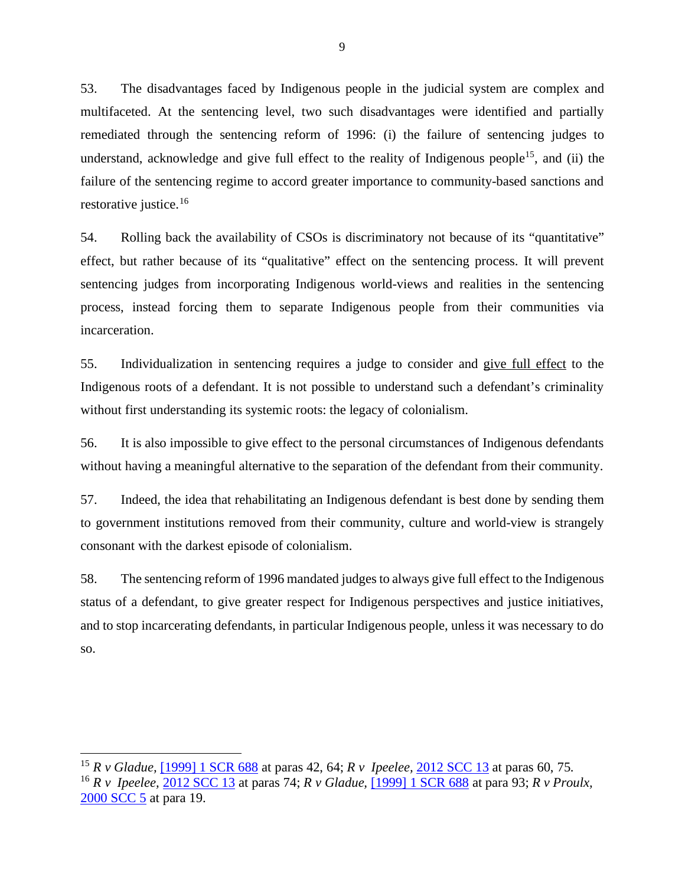53. The disadvantages faced by Indigenous people in the judicial system are complex and multifaceted. At the sentencing level, two such disadvantages were identified and partially remediated through the sentencing reform of 1996: (i) the failure of sentencing judges to understand, acknowledge and give full effect to the reality of Indigenous people<sup>15</sup>, and (ii) the failure of the sentencing regime to accord greater importance to community-based sanctions and restorative justice.[16](#page-18-1)

54. Rolling back the availability of CSOs is discriminatory not because of its "quantitative" effect, but rather because of its "qualitative" effect on the sentencing process. It will prevent sentencing judges from incorporating Indigenous world-views and realities in the sentencing process, instead forcing them to separate Indigenous people from their communities via incarceration.

55. Individualization in sentencing requires a judge to consider and give full effect to the Indigenous roots of a defendant. It is not possible to understand such a defendant's criminality without first understanding its systemic roots: the legacy of colonialism.

56. It is also impossible to give effect to the personal circumstances of Indigenous defendants without having a meaningful alternative to the separation of the defendant from their community.

57. Indeed, the idea that rehabilitating an Indigenous defendant is best done by sending them to government institutions removed from their community, culture and world-view is strangely consonant with the darkest episode of colonialism.

58. The sentencing reform of 1996 mandated judges to always give full effect to the Indigenous status of a defendant, to give greater respect for Indigenous perspectives and justice initiatives, and to stop incarcerating defendants, in particular Indigenous people, unless it was necessary to do so.

<span id="page-18-1"></span><span id="page-18-0"></span><sup>15</sup> *R v Gladue,* [\[1999\] 1 SCR 688](https://decisions.scc-csc.ca/scc-csc/scc-csc/en/1695/1/document.do) at paras 42, 64; *R v Ipeelee,* [2012 SCC 13](https://decisions.scc-csc.ca/scc-csc/scc-csc/en/8000/1/document.do) at paras 60, 75. <sup>16</sup> *R v Ipeelee,* [2012 SCC 13](https://decisions.scc-csc.ca/scc-csc/scc-csc/en/8000/1/document.do) at paras 74; *R v Gladue,* [\[1999\] 1 SCR 688](https://decisions.scc-csc.ca/scc-csc/scc-csc/en/1695/1/document.do) at para 93; *R v Proulx,*  [2000 SCC 5](https://decisions.scc-csc.ca/scc-csc/scc-csc/en/1766/1/document.do) at para 19.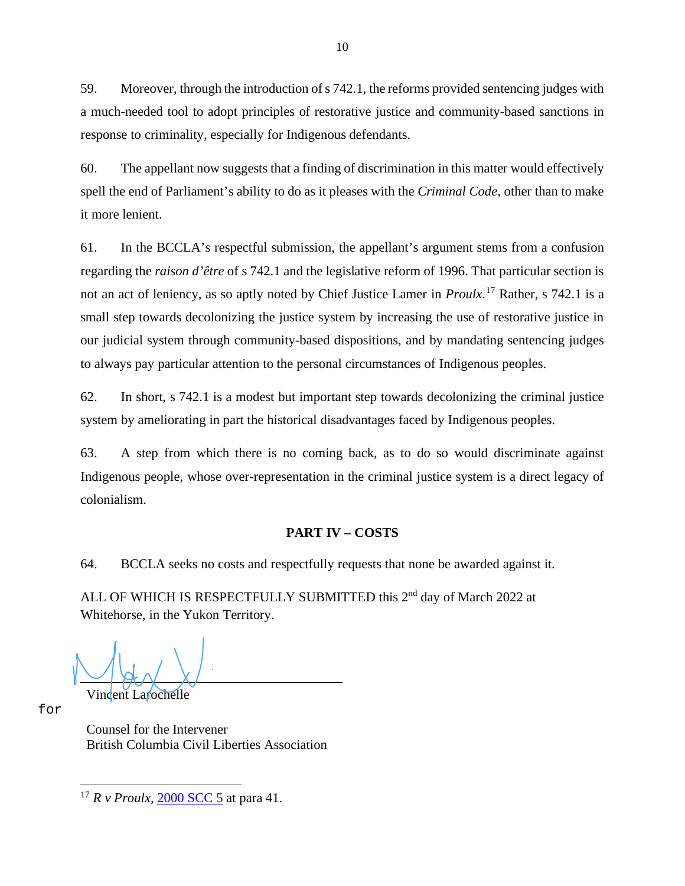59. Moreover, through the introduction of s 742.1, the reforms provided sentencing judges with a much-needed tool to adopt principles of restorative justice and community-based sanctions in response to criminality, especially for Indigenous defendants.

60. The appellant now suggests that a finding of discrimination in this matter would effectively spell the end of Parliament's ability to do as it pleases with the *Criminal Code*, other than to make it more lenient.

61. In the BCCLA's respectful submission, the appellant's argument stems from a confusion regarding the *raison d'être* of s 742.1 and the legislative reform of 1996. That particular section is not an act of leniency, as so aptly noted by Chief Justice Lamer in *Proulx*. [17](#page-19-1) Rather, s 742.1 is a small step towards decolonizing the justice system by increasing the use of restorative justice in our judicial system through community-based dispositions, and by mandating sentencing judges to always pay particular attention to the personal circumstances of Indigenous peoples.

62. In short, s 742.1 is a modest but important step towards decolonizing the criminal justice system by ameliorating in part the historical disadvantages faced by Indigenous peoples.

63. A step from which there is no coming back, as to do so would discriminate against Indigenous people, whose over-representation in the criminal justice system is a direct legacy of colonialism.

## **PART IV – COSTS**

<span id="page-19-0"></span>64. BCCLA seeks no costs and respectfully requests that none be awarded against it.

ALL OF WHICH IS RESPECTFULLY SUBMITTED this 2<sup>nd</sup> day of March 2022 at Whitehorse, in the Yukon Territory.

Vincent Larochelle

for

Counsel for the Intervener British Columbia Civil Liberties Association

<span id="page-19-1"></span><sup>&</sup>lt;sup>17</sup> *R v Proulx,* [2000 SCC 5](https://decisions.scc-csc.ca/scc-csc/scc-csc/en/1766/1/document.do) at para 41.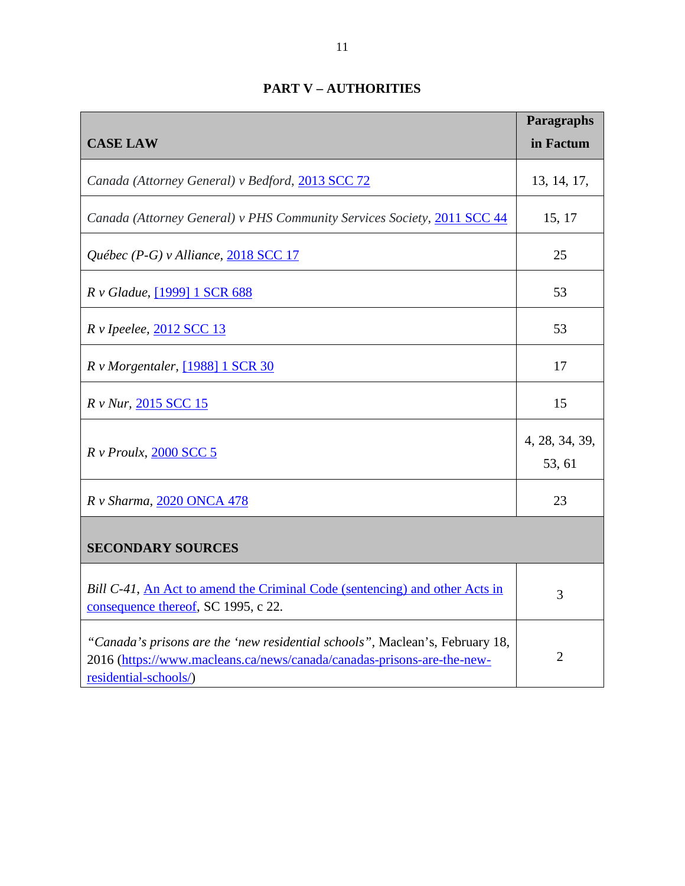<span id="page-20-0"></span>

|                                                                                                                                                                                 | Paragraphs               |  |
|---------------------------------------------------------------------------------------------------------------------------------------------------------------------------------|--------------------------|--|
| <b>CASE LAW</b>                                                                                                                                                                 | in Factum                |  |
| Canada (Attorney General) v Bedford, 2013 SCC 72                                                                                                                                | 13, 14, 17,              |  |
| Canada (Attorney General) v PHS Community Services Society, 2011 SCC 44                                                                                                         | 15, 17                   |  |
| Québec (P-G) v Alliance, 2018 SCC 17                                                                                                                                            | 25                       |  |
| R v Gladue, [1999] 1 SCR 688                                                                                                                                                    | 53                       |  |
| R v Ipeelee, 2012 SCC 13                                                                                                                                                        | 53                       |  |
| R v Morgentaler, [1988] 1 SCR 30                                                                                                                                                | 17                       |  |
| R v Nur, 2015 SCC 15                                                                                                                                                            | 15                       |  |
| $R \vee Proulx$ , 2000 SCC 5                                                                                                                                                    | 4, 28, 34, 39,<br>53, 61 |  |
| R v Sharma, 2020 ONCA 478                                                                                                                                                       | 23                       |  |
| <b>SECONDARY SOURCES</b>                                                                                                                                                        |                          |  |
| Bill C-41, An Act to amend the Criminal Code (sentencing) and other Acts in<br>consequence thereof, SC 1995, c 22.                                                              | 3                        |  |
| "Canada's prisons are the 'new residential schools", Maclean's, February 18,<br>2016 (https://www.macleans.ca/news/canada/canadas-prisons-are-the-new-<br>residential-schools/) | $\overline{2}$           |  |

# **PART V – AUTHORITIES**